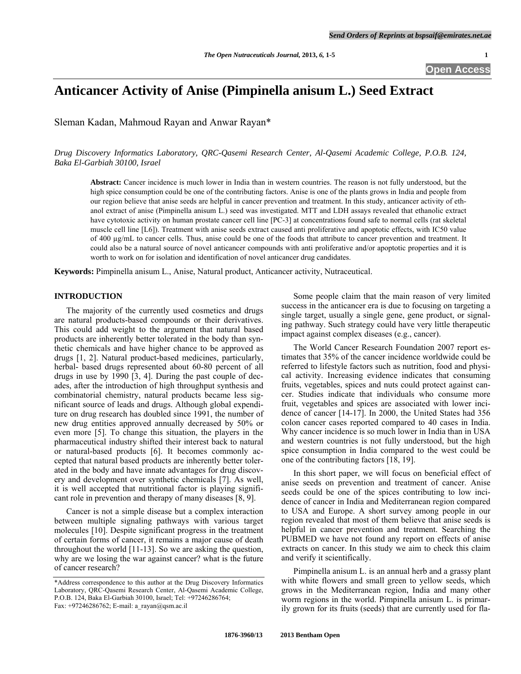# **Anticancer Activity of Anise (Pimpinella anisum L.) Seed Extract**

Sleman Kadan, Mahmoud Rayan and Anwar Rayan\*

*Drug Discovery Informatics Laboratory, QRC-Qasemi Research Center, Al-Qasemi Academic College, P.O.B. 124, Baka El-Garbiah 30100, Israel* 

**Abstract:** Cancer incidence is much lower in India than in western countries. The reason is not fully understood, but the high spice consumption could be one of the contributing factors. Anise is one of the plants grows in India and people from our region believe that anise seeds are helpful in cancer prevention and treatment. In this study, anticancer activity of ethanol extract of anise (Pimpinella anisum L.) seed was investigated. MTT and LDH assays revealed that ethanolic extract have cytotoxic activity on human prostate cancer cell line [PC-3] at concentrations found safe to normal cells (rat skeletal muscle cell line [L6]). Treatment with anise seeds extract caused anti proliferative and apoptotic effects, with IC50 value of 400 µg/mL to cancer cells. Thus, anise could be one of the foods that attribute to cancer prevention and treatment. It could also be a natural source of novel anticancer compounds with anti proliferative and/or apoptotic properties and it is worth to work on for isolation and identification of novel anticancer drug candidates.

**Keywords:** Pimpinella anisum L., Anise, Natural product, Anticancer activity, Nutraceutical.

#### **INTRODUCTION**

 The majority of the currently used cosmetics and drugs are natural products-based compounds or their derivatives. This could add weight to the argument that natural based products are inherently better tolerated in the body than synthetic chemicals and have higher chance to be approved as drugs [1, 2]. Natural product-based medicines, particularly, herbal- based drugs represented about 60-80 percent of all drugs in use by 1990 [3, 4]. During the past couple of decades, after the introduction of high throughput synthesis and combinatorial chemistry, natural products became less significant source of leads and drugs. Although global expenditure on drug research has doubled since 1991, the number of new drug entities approved annually decreased by 50% or even more [5]. To change this situation, the players in the pharmaceutical industry shifted their interest back to natural or natural-based products [6]. It becomes commonly accepted that natural based products are inherently better tolerated in the body and have innate advantages for drug discovery and development over synthetic chemicals [7]. As well, it is well accepted that nutritional factor is playing significant role in prevention and therapy of many diseases [8, 9].

 Cancer is not a simple disease but a complex interaction between multiple signaling pathways with various target molecules [10]. Despite significant progress in the treatment of certain forms of cancer, it remains a major cause of death throughout the world [11-13]. So we are asking the question, why are we losing the war against cancer? what is the future of cancer research?

 Some people claim that the main reason of very limited success in the anticancer era is due to focusing on targeting a single target, usually a single gene, gene product, or signaling pathway. Such strategy could have very little therapeutic impact against complex diseases (e.g., cancer).

 The World Cancer Research Foundation 2007 report estimates that 35% of the cancer incidence worldwide could be referred to lifestyle factors such as nutrition, food and physical activity. Increasing evidence indicates that consuming fruits, vegetables, spices and nuts could protect against cancer. Studies indicate that individuals who consume more fruit, vegetables and spices are associated with lower incidence of cancer [14-17]. In 2000, the United States had 356 colon cancer cases reported compared to 40 cases in India. Why cancer incidence is so much lower in India than in USA and western countries is not fully understood, but the high spice consumption in India compared to the west could be one of the contributing factors [18, 19].

 In this short paper, we will focus on beneficial effect of anise seeds on prevention and treatment of cancer. Anise seeds could be one of the spices contributing to low incidence of cancer in India and Mediterranean region compared to USA and Europe. A short survey among people in our region revealed that most of them believe that anise seeds is helpful in cancer prevention and treatment. Searching the PUBMED we have not found any report on effects of anise extracts on cancer. In this study we aim to check this claim and verify it scientifically.

 Pimpinella anisum L. is an annual herb and a grassy plant with white flowers and small green to yellow seeds, which grows in the Mediterranean region, India and many other worm regions in the world. Pimpinella anisum L. is primarily grown for its fruits (seeds) that are currently used for fla-

<sup>\*</sup>Address correspondence to this author at the Drug Discovery Informatics Laboratory, QRC-Qasemi Research Center, Al-Qasemi Academic College, P.O.B. 124, Baka El-Garbiah 30100, Israel; Tel: +97246286764; Fax: +97246286762; E-mail: [a\\_rayan@qsm.ac.il](mailto:a_rayan@qsm.ac.il)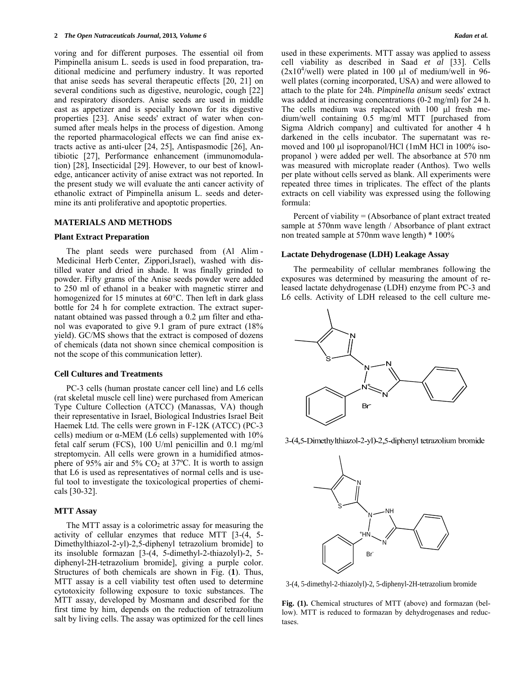voring and for different purposes. The essential oil from Pimpinella anisum L. seeds is used in food preparation, traditional medicine and perfumery industry. It was reported that anise seeds has several therapeutic effects [20, 21] on several conditions such as digestive, neurologic, cough [22] and respiratory disorders. Anise seeds are used in middle east as appetizer and is specially known for its digestive properties [23]. Anise seeds' extract of water when consumed after meals helps in the process of digestion. Among the reported pharmacological effects we can find anise extracts active as anti-ulcer [24, 25], Antispasmodic [26], Antibiotic [27], Performance enhancement (immunomodulation) [28], Insecticidal [29]. However, to our best of knowledge, anticancer activity of anise extract was not reported. In the present study we will evaluate the anti cancer activity of ethanolic extract of Pimpinella anisum L. seeds and determine its anti proliferative and apoptotic properties.

#### **MATERIALS AND METHODS**

#### **Plant Extract Preparation**

 The plant seeds were purchased from (Al Alim - Medicinal Herb Center, Zippori,Israel), washed with distilled water and dried in shade. It was finally grinded to powder. Fifty grams of the Anise seeds powder were added to 250 ml of ethanol in a beaker with magnetic stirrer and homogenized for 15 minutes at 60°C. Then left in dark glass bottle for 24 h for complete extraction. The extract supernatant obtained was passed through a  $0.2 \mu m$  filter and ethanol was evaporated to give 9.1 gram of pure extract (18% yield). GC/MS shows that the extract is composed of dozens of chemicals (data not shown since chemical composition is not the scope of this communication letter).

#### **Cell Cultures and Treatments**

 PC-3 cells (human prostate cancer cell line) and L6 cells (rat skeletal muscle cell line) were purchased from American Type Culture Collection (ATCC) (Manassas, VA) though their representative in Israel, Biological Industries Israel Beit Haemek Ltd. The cells were grown in F-12K (ATCC) (PC-3 cells) medium or α-MEM (L6 cells) supplemented with  $10\%$ fetal calf serum (FCS), 100 U/ml penicillin and 0.1 mg/ml streptomycin. All cells were grown in a humidified atmosphere of 95% air and 5%  $CO<sub>2</sub>$  at 37°C. It is worth to assign that L6 is used as representatives of normal cells and is useful tool to investigate the toxicological properties of chemicals [30-32].

# **MTT Assay**

 The MTT assay is a colorimetric assay for measuring the activity of cellular enzymes that reduce MTT [3-(4, 5- Dimethylthiazol-2-yl)-2,5-diphenyl tetrazolium bromide] to its insoluble formazan [3-(4, 5-dimethyl-2-thiazolyl)-2, 5 diphenyl-2H-tetrazolium bromide], giving a purple color. Structures of both chemicals are shown in Fig. (**1**). Thus, MTT assay is a cell viability test often used to determine cytotoxicity following exposure to toxic substances. The MTT assay, developed by Mosmann and described for the first time by him, depends on the reduction of tetrazolium salt by living cells. The assay was optimized for the cell lines used in these experiments. MTT assay was applied to assess cell viability as described in Saad *et al* [33]. Cells  $(2x10<sup>4</sup>/well)$  were plated in 100 µl of medium/well in 96well plates (corning incorporated, USA) and were allowed to attach to the plate for 24h. *Pimpinella anisum* seeds' extract was added at increasing concentrations (0-2 mg/ml) for 24 h. The cells medium was replaced with  $100$   $\mu$ l fresh medium/well containing 0.5 mg/ml MTT [purchased from Sigma Aldrich company] and cultivated for another 4 h darkened in the cells incubator. The supernatant was removed and 100 µl isopropanol/HCl (1mM HCl in 100% isopropanol ) were added per well. The absorbance at 570 nm was measured with microplate reader (Anthos). Two wells per plate without cells served as blank. All experiments were repeated three times in triplicates. The effect of the plants extracts on cell viability was expressed using the following formula:

 Percent of viability = (Absorbance of plant extract treated sample at 570nm wave length / Absorbance of plant extract non treated sample at 570nm wave length) \* 100%

## **Lactate Dehydrogenase (LDH) Leakage Assay**

 The permeability of cellular membranes following the exposures was determined by measuring the amount of released lactate dehydrogenase (LDH) enzyme from PC-3 and L6 cells. Activity of LDH released to the cell culture me-



3-(4,5-Dimethylthiazol-2-yl)-2,5-diphenyl tetrazolium bromide



3-(4, 5-dimethyl-2-thiazolyl)-2, 5-diphenyl-2H-tetrazolium bromide

**Fig. (1).** Chemical structures of MTT (above) and formazan (bellow). MTT is reduced to formazan by dehydrogenases and reductases.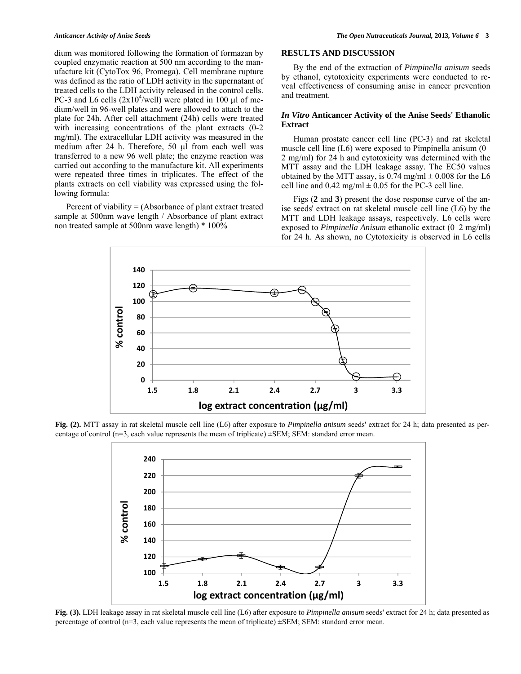dium was monitored following the formation of formazan by coupled enzymatic reaction at 500 nm according to the manufacture kit (CytoTox 96, Promega). Cell membrane rupture was defined as the ratio of LDH activity in the supernatant of treated cells to the LDH activity released in the control cells. PC-3 and L6 cells  $(2x10^4/\text{well})$  were plated in 100 µl of medium/well in 96-well plates and were allowed to attach to the plate for 24h. After cell attachment (24h) cells were treated with increasing concentrations of the plant extracts  $(0-2)$ mg/ml). The extracellular LDH activity was measured in the medium after 24 h. Therefore, 50  $\mu$ I from each well was transferred to a new 96 well plate; the enzyme reaction was carried out according to the manufacture kit. All experiments were repeated three times in triplicates. The effect of the plants extracts on cell viability was expressed using the following formula:

 Percent of viability = (Absorbance of plant extract treated sample at 500nm wave length / Absorbance of plant extract non treated sample at 500nm wave length) \* 100%

# **RESULTS AND DISCUSSION**

 By the end of the extraction of *Pimpinella anisum* seeds by ethanol, cytotoxicity experiments were conducted to reveal effectiveness of consuming anise in cancer prevention and treatment.

# *In Vitro* **Anticancer Activity of the Anise Seeds' Ethanolic Extract**

Human prostate cancer cell line (PC-3) and rat skeletal muscle cell line (L6) were exposed to Pimpinella anisum (0– 2 mg/ml) for 24 h and cytotoxicity was determined with the MTT assay and the LDH leakage assay. The EC50 values obtained by the MTT assay, is 0.74 mg/ml  $\pm$  0.008 for the L6 cell line and  $0.42$  mg/ml  $\pm 0.05$  for the PC-3 cell line.

 Figs (**2** and **3**) present the dose response curve of the anise seeds' extract on rat skeletal muscle cell line (L6) by the MTT and LDH leakage assays, respectively. L6 cells were exposed to *Pimpinella Anisum* ethanolic extract (0–2 mg/ml) for 24 h. As shown, no Cytotoxicity is observed in L6 cells



**Fig. (2).** MTT assay in rat skeletal muscle cell line (L6) after exposure to *Pimpinella anisum* seeds' extract for 24 h; data presented as percentage of control ( $n=3$ , each value represents the mean of triplicate)  $\pm$ SEM; SEM: standard error mean.



**Fig. (3).** LDH leakage assay in rat skeletal muscle cell line (L6) after exposure to *Pimpinella anisum* seeds' extract for 24 h; data presented as percentage of control (n=3, each value represents the mean of triplicate) ±SEM; SEM: standard error mean.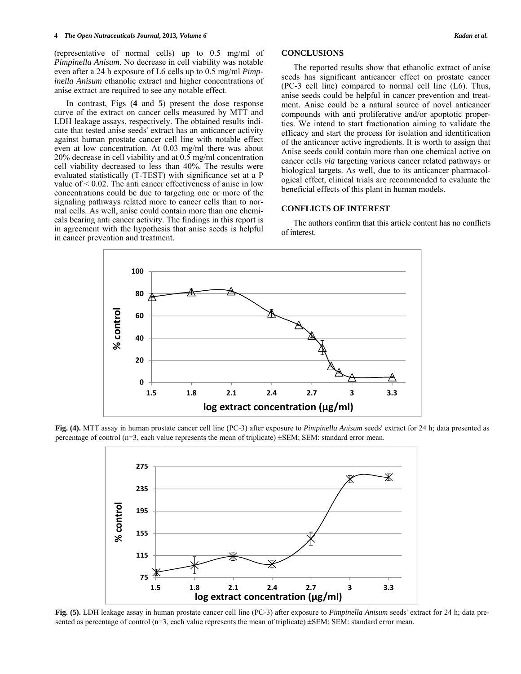#### **4** *The Open Nutraceuticals Journal***, 2013***, Volume 6 Kadan et al.*

(representative of normal cells) up to 0.5 mg/ml of *Pimpinella Anisum*. No decrease in cell viability was notable even after a 24 h exposure of L6 cells up to 0.5 mg/ml *Pimpinella Anisum* ethanolic extract and higher concentrations of anise extract are required to see any notable effect.

 In contrast, Figs (**4** and **5**) present the dose response curve of the extract on cancer cells measured by MTT and LDH leakage assays, respectively. The obtained results indicate that tested anise seeds' extract has an anticancer activity against human prostate cancer cell line with notable effect even at low concentration. At 0.03 mg/ml there was about 20% decrease in cell viability and at 0.5 mg/ml concentration cell viability decreased to less than 40%. The results were evaluated statistically (T-TEST) with significance set at a P value of  $\leq 0.02$ . The anti-cancer effectiveness of anise in low concentrations could be due to targeting one or more of the signaling pathways related more to cancer cells than to normal cells. As well, anise could contain more than one chemicals bearing anti cancer activity. The findings in this report is in agreement with the hypothesis that anise seeds is helpful in cancer prevention and treatment.

# **CONCLUSIONS**

 The reported results show that ethanolic extract of anise seeds has significant anticancer effect on prostate cancer (PC-3 cell line) compared to normal cell line (L6). Thus, anise seeds could be helpful in cancer prevention and treatment. Anise could be a natural source of novel anticancer compounds with anti proliferative and/or apoptotic properties. We intend to start fractionation aiming to validate the efficacy and start the process for isolation and identification of the anticancer active ingredients. It is worth to assign that Anise seeds could contain more than one chemical active on cancer cells *via* targeting various cancer related pathways or biological targets. As well, due to its anticancer pharmacological effect, clinical trials are recommended to evaluate the beneficial effects of this plant in human models.

### **CONFLICTS OF INTEREST**

 The authors confirm that this article content has no conflicts of interest.



**Fig. (4).** MTT assay in human prostate cancer cell line (PC-3) after exposure to *Pimpinella Anisum* seeds' extract for 24 h; data presented as percentage of control ( $n=3$ , each value represents the mean of triplicate)  $\pm$ SEM; SEM: standard error mean.



**Fig. (5).** LDH leakage assay in human prostate cancer cell line (PC-3) after exposure to *Pimpinella Anisum* seeds' extract for 24 h; data presented as percentage of control ( $n=3$ , each value represents the mean of triplicate)  $\pm$ SEM; SEM: standard error mean.